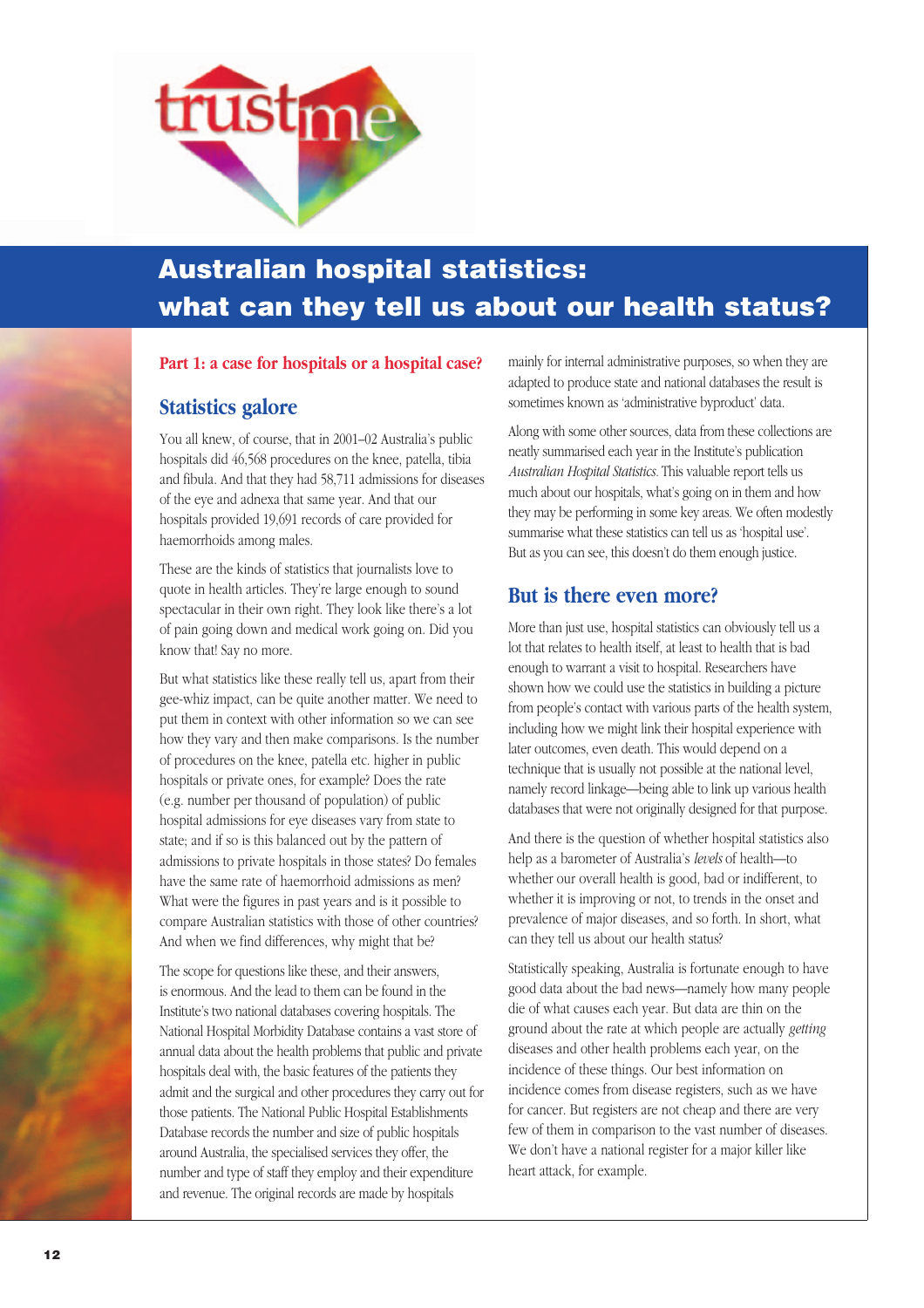

# **Australian hospital statistics: what can they tell us about our health status?**

#### **Part 1: a case for hospitals or a hospital case?**

#### **Statistics galore**

You all knew, of course, that in 2001–02 Australia's public hospitals did 46,568 procedures on the knee, patella, tibia and fibula. And that they had 58,711 admissions for diseases of the eye and adnexa that same year. And that our hospitals provided 19,691 records of care provided for haemorrhoids among males.

These are the kinds of statistics that journalists love to quote in health articles. They're large enough to sound spectacular in their own right. They look like there's a lot of pain going down and medical work going on. Did you know that! Say no more.

But what statistics like these really tell us, apart from their gee-whiz impact, can be quite another matter. We need to put them in context with other information so we can see how they vary and then make comparisons. Is the number of procedures on the knee, patella etc. higher in public hospitals or private ones, for example? Does the rate (e.g. number per thousand of population) of public hospital admissions for eye diseases vary from state to state; and if so is this balanced out by the pattern of admissions to private hospitals in those states? Do females have the same rate of haemorrhoid admissions as men? What were the figures in past years and is it possible to compare Australian statistics with those of other countries? And when we find differences, why might that be?

The scope for questions like these, and their answers, is enormous. And the lead to them can be found in the Institute's two national databases covering hospitals. The National Hospital Morbidity Database contains a vast store of annual data about the health problems that public and private hospitals deal with, the basic features of the patients they admit and the surgical and other procedures they carry out for those patients. The National Public Hospital Establishments Database records the number and size of public hospitals around Australia, the specialised services they offer, the number and type of staff they employ and their expenditure and revenue. The original records are made by hospitals

mainly for internal administrative purposes, so when they are adapted to produce state and national databases the result is sometimes known as 'administrative byproduct' data.

Along with some other sources, data from these collections are neatly summarised each year in the Institute's publication *Australian Hospital Statistics.* This valuable report tells us much about our hospitals, what's going on in them and how they may be performing in some key areas. We often modestly summarise what these statistics can tell us as 'hospital use'. But as you can see, this doesn't do them enough justice.

### **But is there even more?**

More than just use, hospital statistics can obviously tell us a lot that relates to health itself, at least to health that is bad enough to warrant a visit to hospital. Researchers have shown how we could use the statistics in building a picture from people's contact with various parts of the health system, including how we might link their hospital experience with later outcomes, even death. This would depend on a technique that is usually not possible at the national level, namely record linkage—being able to link up various health databases that were not originally designed for that purpose.

And there is the question of whether hospital statistics also help as a barometer of Australia's *levels* of health—to whether our overall health is good, bad or indifferent, to whether it is improving or not, to trends in the onset and prevalence of major diseases, and so forth. In short, what can they tell us about our health status?

Statistically speaking, Australia is fortunate enough to have good data about the bad news—namely how many people die of what causes each year. But data are thin on the ground about the rate at which people are actually *getting* diseases and other health problems each year, on the incidence of these things. Our best information on incidence comes from disease registers, such as we have for cancer. But registers are not cheap and there are very few of them in comparison to the vast number of diseases. We don't have a national register for a major killer like heart attack, for example.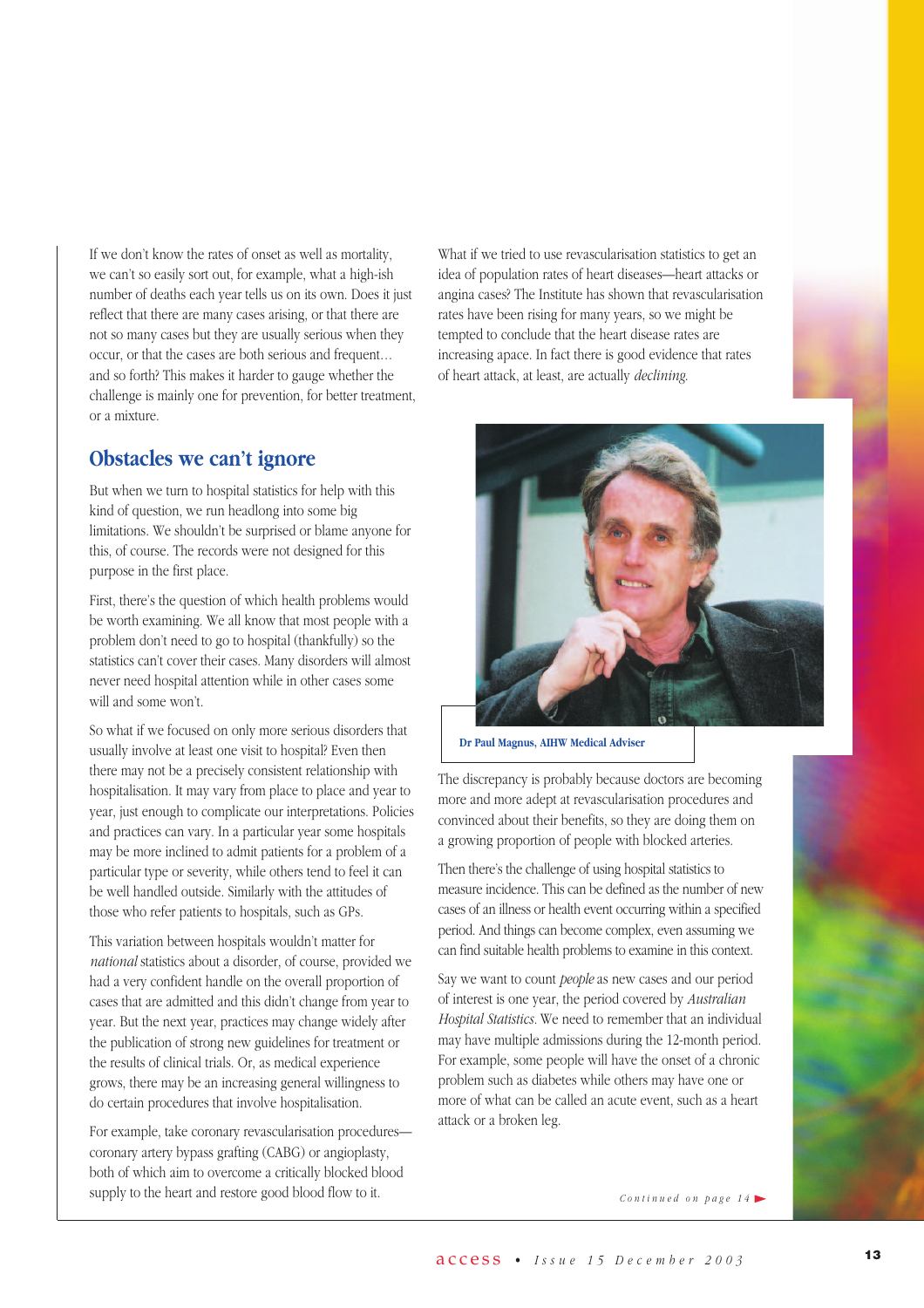If we don't know the rates of onset as well as mortality, we can't so easily sort out, for example, what a high-ish number of deaths each year tells us on its own. Does it just reflect that there are many cases arising, or that there are not so many cases but they are usually serious when they occur, or that the cases are both serious and frequent… and so forth? This makes it harder to gauge whether the challenge is mainly one for prevention, for better treatment, or a mixture.

#### **Obstacles we can't ignore**

But when we turn to hospital statistics for help with this kind of question, we run headlong into some big limitations. We shouldn't be surprised or blame anyone for this, of course. The records were not designed for this purpose in the first place.

First, there's the question of which health problems would be worth examining. We all know that most people with a problem don't need to go to hospital (thankfully) so the statistics can't cover their cases. Many disorders will almost never need hospital attention while in other cases some will and some won't.

So what if we focused on only more serious disorders that usually involve at least one visit to hospital? Even then there may not be a precisely consistent relationship with hospitalisation. It may vary from place to place and year to year, just enough to complicate our interpretations. Policies and practices can vary. In a particular year some hospitals may be more inclined to admit patients for a problem of a particular type or severity, while others tend to feel it can be well handled outside. Similarly with the attitudes of those who refer patients to hospitals, such as GPs.

This variation between hospitals wouldn't matter for *national* statistics about a disorder, of course, provided we had a very confident handle on the overall proportion of cases that are admitted and this didn't change from year to year. But the next year, practices may change widely after the publication of strong new guidelines for treatment or the results of clinical trials. Or, as medical experience grows, there may be an increasing general willingness to do certain procedures that involve hospitalisation.

For example, take coronary revascularisation procedures coronary artery bypass grafting (CABG) or angioplasty, both of which aim to overcome a critically blocked blood supply to the heart and restore good blood flow to it.

What if we tried to use revascularisation statistics to get an idea of population rates of heart diseases—heart attacks or angina cases? The Institute has shown that revascularisation rates have been rising for many years, so we might be tempted to conclude that the heart disease rates are increasing apace. In fact there is good evidence that rates of heart attack, at least, are actually *declining*.



**Dr Paul Magnus, AIHW Medical Adviser**

The discrepancy is probably because doctors are becoming more and more adept at revascularisation procedures and convinced about their benefits, so they are doing them on a growing proportion of people with blocked arteries.

Then there's the challenge of using hospital statistics to measure incidence. This can be defined as the number of new cases of an illness or health event occurring within a specified period. And things can become complex, even assuming we can find suitable health problems to examine in this context.

Say we want to count *people* as new cases and our period of interest is one year, the period covered by *Australian Hospital Statistics.* We need to remember that an individual may have multiple admissions during the 12-month period. For example, some people will have the onset of a chronic problem such as diabetes while others may have one or more of what can be called an acute event, such as a heart attack or a broken leg.

*Continued on page 14*

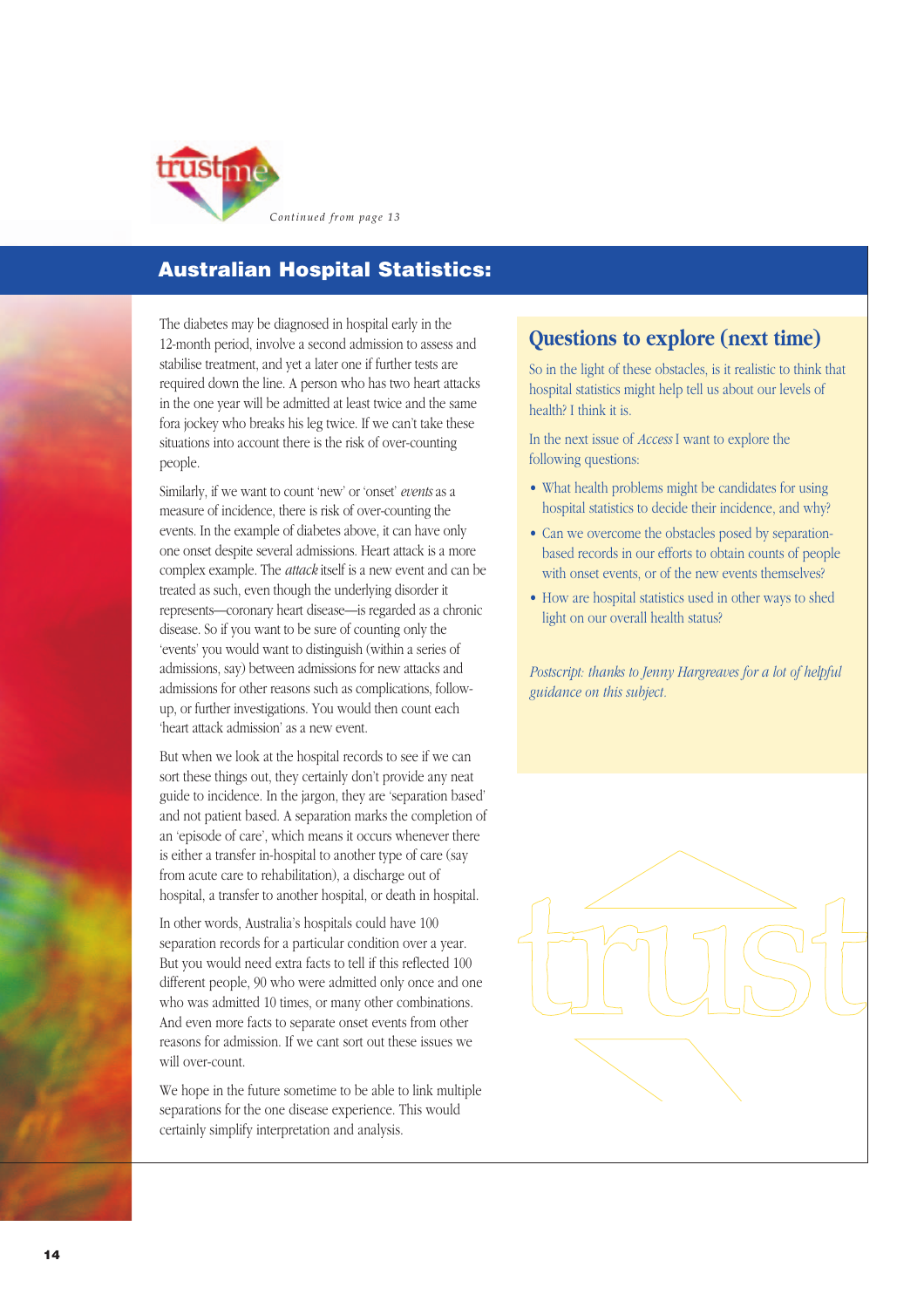

## **Australian Hospital Statistics:**

The diabetes may be diagnosed in hospital early in the 12-month period, involve a second admission to assess and stabilise treatment, and yet a later one if further tests are required down the line. A person who has two heart attacks in the one year will be admitted at least twice and the same fora jockey who breaks his leg twice. If we can't take these situations into account there is the risk of over-counting people.

Similarly, if we want to count 'new' or 'onset' *events* as a measure of incidence, there is risk of over-counting the events. In the example of diabetes above, it can have only one onset despite several admissions. Heart attack is a more complex example. The *attack* itself is a new event and can be treated as such, even though the underlying disorder it represents—coronary heart disease—is regarded as a chronic disease. So if you want to be sure of counting only the 'events' you would want to distinguish (within a series of admissions, say) between admissions for new attacks and admissions for other reasons such as complications, followup, or further investigations. You would then count each 'heart attack admission' as a new event.

But when we look at the hospital records to see if we can sort these things out, they certainly don't provide any neat guide to incidence. In the jargon, they are 'separation based' and not patient based. A separation marks the completion of an 'episode of care', which means it occurs whenever there is either a transfer in-hospital to another type of care (say from acute care to rehabilitation), a discharge out of hospital, a transfer to another hospital, or death in hospital.

In other words, Australia's hospitals could have 100 separation records for a particular condition over a year. But you would need extra facts to tell if this reflected 100 different people, 90 who were admitted only once and one who was admitted 10 times, or many other combinations. And even more facts to separate onset events from other reasons for admission. If we cant sort out these issues we will over-count.

We hope in the future sometime to be able to link multiple separations for the one disease experience. This would certainly simplify interpretation and analysis.

## **Questions to explore (next time)**

So in the light of these obstacles, is it realistic to think that hospital statistics might help tell us about our levels of health? I think it is.

In the next issue of *Access* I want to explore the following questions:

- What health problems might be candidates for using hospital statistics to decide their incidence, and why?
- Can we overcome the obstacles posed by separationbased records in our efforts to obtain counts of people with onset events, or of the new events themselves?
- How are hospital statistics used in other ways to shed light on our overall health status?

*Postscript: thanks to Jenny Hargreaves for a lot of helpful guidance on this subject.*

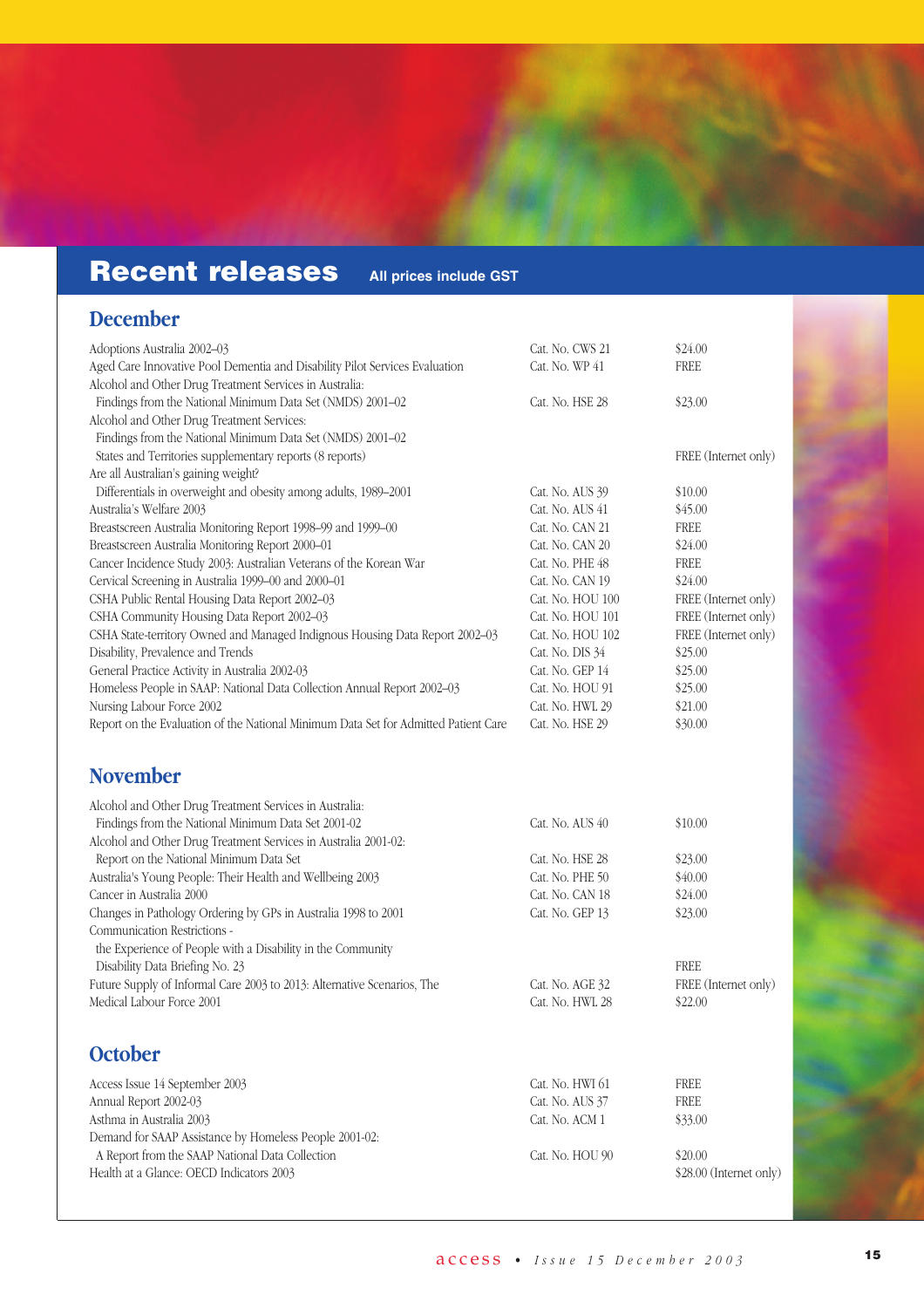# **Recent releases All prices include GST**

## **December**

| Adoptions Australia 2002-03                                                         | Cat. No. CWS 21  | \$24.00                 |
|-------------------------------------------------------------------------------------|------------------|-------------------------|
| Aged Care Innovative Pool Dementia and Disability Pilot Services Evaluation         | Cat. No. WP 41   | <b>FREE</b>             |
| Alcohol and Other Drug Treatment Services in Australia:                             |                  |                         |
| Findings from the National Minimum Data Set (NMDS) 2001-02                          | Cat. No. HSE 28  | \$23.00                 |
| Alcohol and Other Drug Treatment Services:                                          |                  |                         |
| Findings from the National Minimum Data Set (NMDS) 2001-02                          |                  |                         |
| States and Territories supplementary reports (8 reports)                            |                  | FREE (Internet only)    |
| Are all Australian's gaining weight?                                                |                  |                         |
| Differentials in overweight and obesity among adults, 1989-2001                     | Cat. No. AUS 39  | \$10.00                 |
| Australia's Welfare 2003                                                            | Cat. No. AUS 41  | \$45.00                 |
| Breastscreen Australia Monitoring Report 1998-99 and 1999-00                        | Cat. No. CAN 21  | FREE                    |
| Breastscreen Australia Monitoring Report 2000-01                                    | Cat. No. CAN 20  | \$24.00                 |
| Cancer Incidence Study 2003: Australian Veterans of the Korean War                  | Cat. No. PHE 48  | <b>FREE</b>             |
| Cervical Screening in Australia 1999-00 and 2000-01                                 | Cat. No. CAN 19  | \$24.00                 |
| CSHA Public Rental Housing Data Report 2002-03                                      | Cat. No. HOU 100 | FREE (Internet only)    |
| CSHA Community Housing Data Report 2002-03                                          | Cat. No. HOU 101 | FREE (Internet only)    |
| CSHA State-territory Owned and Managed Indignous Housing Data Report 2002-03        | Cat. No. HOU 102 | FREE (Internet only)    |
| Disability, Prevalence and Trends                                                   | Cat. No. DIS 34  | \$25.00                 |
| General Practice Activity in Australia 2002-03                                      | Cat. No. GEP 14  | \$25.00                 |
| Homeless People in SAAP: National Data Collection Annual Report 2002-03             | Cat. No. HOU 91  | \$25.00                 |
| Nursing Labour Force 2002                                                           | Cat. No. HWL 29  | \$21.00                 |
| Report on the Evaluation of the National Minimum Data Set for Admitted Patient Care | Cat. No. HSE 29  | \$30.00                 |
|                                                                                     |                  |                         |
| <b>November</b>                                                                     |                  |                         |
| Alcohol and Other Drug Treatment Services in Australia:                             |                  |                         |
| Findings from the National Minimum Data Set 2001-02                                 | Cat. No. AUS 40  | \$10.00                 |
| Alcohol and Other Drug Treatment Services in Australia 2001-02:                     |                  |                         |
| Report on the National Minimum Data Set                                             | Cat. No. HSE 28  | \$23.00                 |
| Australia's Young People: Their Health and Wellbeing 2003                           | Cat. No. PHE 50  | \$40.00                 |
| Cancer in Australia 2000                                                            | Cat. No. CAN 18  | \$24.00                 |
| Changes in Pathology Ordering by GPs in Australia 1998 to 2001                      | Cat. No. GEP 13  | \$23.00                 |
| Communication Restrictions -                                                        |                  |                         |
| the Experience of People with a Disability in the Community                         |                  |                         |
| Disability Data Briefing No. 23                                                     |                  | <b>FREE</b>             |
| Future Supply of Informal Care 2003 to 2013: Alternative Scenarios, The             | Cat. No. AGE 32  | FREE (Internet only)    |
| Medical Labour Force 2001                                                           | Cat. No. HWL 28  | \$22.00                 |
|                                                                                     |                  |                         |
| <b>October</b>                                                                      |                  |                         |
|                                                                                     |                  |                         |
| Access Issue 14 September 2003                                                      | Cat. No. HWI 61  | FREE                    |
| Annual Report 2002-03                                                               | Cat. No. AUS 37  | FREE                    |
| Asthma in Australia 2003                                                            | Cat. No. ACM 1   | \$33.00                 |
| Demand for SAAP Assistance by Homeless People 2001-02:                              |                  |                         |
| A Report from the SAAP National Data Collection                                     | Cat. No. HOU 90  | \$20.00                 |
| Health at a Glance: OECD Indicators 2003                                            |                  | \$28.00 (Internet only) |